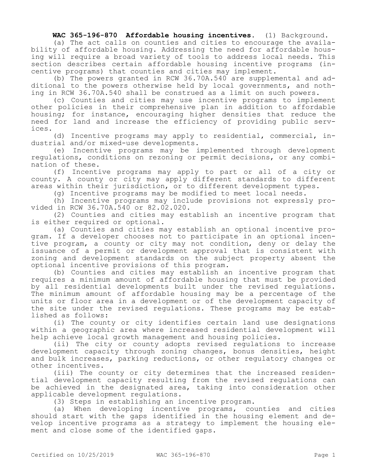**WAC 365-196-870 Affordable housing incentives.** (1) Background.

(a) The act calls on counties and cities to encourage the availability of affordable housing. Addressing the need for affordable housing will require a broad variety of tools to address local needs. This section describes certain affordable housing incentive programs (incentive programs) that counties and cities may implement.

(b) The powers granted in RCW 36.70A.540 are supplemental and additional to the powers otherwise held by local governments, and nothing in RCW 36.70A.540 shall be construed as a limit on such powers.

(c) Counties and cities may use incentive programs to implement other policies in their comprehensive plan in addition to affordable housing; for instance, encouraging higher densities that reduce the need for land and increase the efficiency of providing public services.

(d) Incentive programs may apply to residential, commercial, industrial and/or mixed-use developments.

(e) Incentive programs may be implemented through development regulations, conditions on rezoning or permit decisions, or any combination of these.

(f) Incentive programs may apply to part or all of a city or county. A county or city may apply different standards to different areas within their jurisdiction, or to different development types.

(g) Incentive programs may be modified to meet local needs.

(h) Incentive programs may include provisions not expressly provided in RCW 36.70A.540 or 82.02.020.

(2) Counties and cities may establish an incentive program that is either required or optional.

(a) Counties and cities may establish an optional incentive program. If a developer chooses not to participate in an optional incentive program, a county or city may not condition, deny or delay the issuance of a permit or development approval that is consistent with zoning and development standards on the subject property absent the optional incentive provisions of this program.

(b) Counties and cities may establish an incentive program that requires a minimum amount of affordable housing that must be provided by all residential developments built under the revised regulations. The minimum amount of affordable housing may be a percentage of the units or floor area in a development or of the development capacity of the site under the revised regulations. These programs may be established as follows:

(i) The county or city identifies certain land use designations within a geographic area where increased residential development will help achieve local growth management and housing policies.

(ii) The city or county adopts revised regulations to increase development capacity through zoning changes, bonus densities, height and bulk increases, parking reductions, or other regulatory changes or other incentives.

(iii) The county or city determines that the increased residential development capacity resulting from the revised regulations can be achieved in the designated area, taking into consideration other applicable development regulations.

(3) Steps in establishing an incentive program.

(a) When developing incentive programs, counties and cities should start with the gaps identified in the housing element and develop incentive programs as a strategy to implement the housing element and close some of the identified gaps.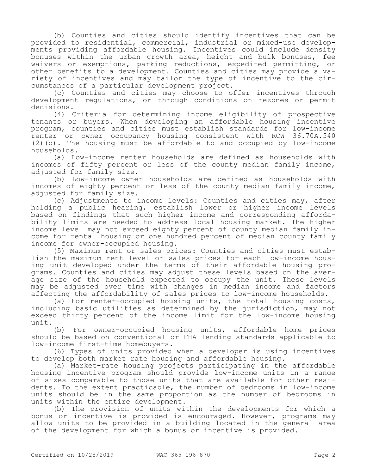(b) Counties and cities should identify incentives that can be provided to residential, commercial, industrial or mixed-use developments providing affordable housing. Incentives could include density bonuses within the urban growth area, height and bulk bonuses, fee waivers or exemptions, parking reductions, expedited permitting, or other benefits to a development. Counties and cities may provide a variety of incentives and may tailor the type of incentive to the circumstances of a particular development project.

(c) Counties and cities may choose to offer incentives through development regulations, or through conditions on rezones or permit decisions.

(4) Criteria for determining income eligibility of prospective tenants or buyers. When developing an affordable housing incentive program, counties and cities must establish standards for low-income renter or owner occupancy housing consistent with RCW 36.70A.540 (2)(b). The housing must be affordable to and occupied by low-income households.

(a) Low-income renter households are defined as households with incomes of fifty percent or less of the county median family income, adjusted for family size.

(b) Low-income owner households are defined as households with incomes of eighty percent or less of the county median family income, adjusted for family size.

(c) Adjustments to income levels: Counties and cities may, after holding a public hearing, establish lower or higher income levels based on findings that such higher income and corresponding affordability limits are needed to address local housing market. The higher income level may not exceed eighty percent of county median family income for rental housing or one hundred percent of median county family income for owner-occupied housing.

(5) Maximum rent or sales prices: Counties and cities must establish the maximum rent level or sales prices for each low-income housing unit developed under the terms of their affordable housing programs. Counties and cities may adjust these levels based on the average size of the household expected to occupy the unit. These levels may be adjusted over time with changes in median income and factors affecting the affordability of sales prices to low-income households.

(a) For renter-occupied housing units, the total housing costs, including basic utilities as determined by the jurisdiction, may not exceed thirty percent of the income limit for the low-income housing unit.

(b) For owner-occupied housing units, affordable home prices should be based on conventional or FHA lending standards applicable to low-income first-time homebuyers.

(6) Types of units provided when a developer is using incentives to develop both market rate housing and affordable housing.

(a) Market-rate housing projects participating in the affordable housing incentive program should provide low-income units in a range of sizes comparable to those units that are available for other residents. To the extent practicable, the number of bedrooms in low-income units should be in the same proportion as the number of bedrooms in units within the entire development.

(b) The provision of units within the developments for which a bonus or incentive is provided is encouraged. However, programs may allow units to be provided in a building located in the general area of the development for which a bonus or incentive is provided.